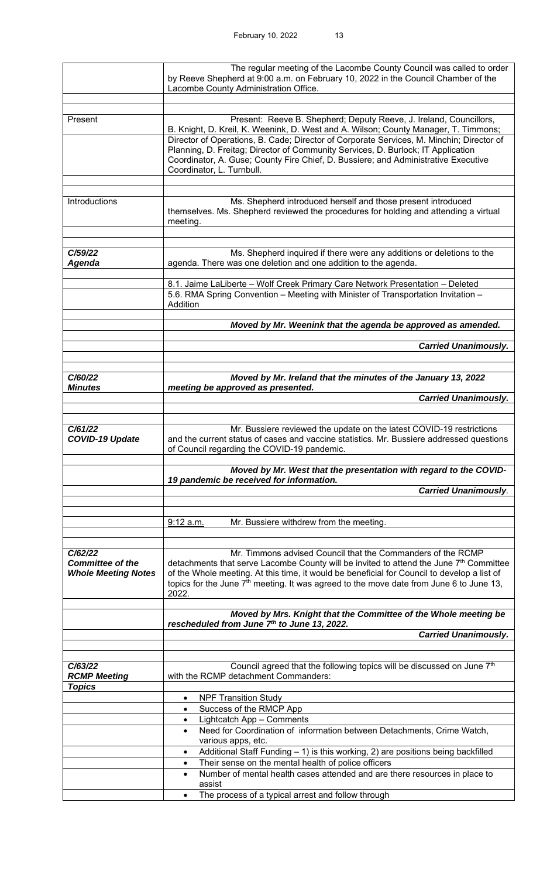|                                   | The regular meeting of the Lacombe County Council was called to order                                                                                                                              |
|-----------------------------------|----------------------------------------------------------------------------------------------------------------------------------------------------------------------------------------------------|
|                                   | by Reeve Shepherd at 9:00 a.m. on February 10, 2022 in the Council Chamber of the<br>Lacombe County Administration Office.                                                                         |
|                                   |                                                                                                                                                                                                    |
| Present                           | Present: Reeve B. Shepherd; Deputy Reeve, J. Ireland, Councillors,                                                                                                                                 |
|                                   | B. Knight, D. Kreil, K. Weenink, D. West and A. Wilson; County Manager, T. Timmons;                                                                                                                |
|                                   | Director of Operations, B. Cade; Director of Corporate Services, M. Minchin; Director of                                                                                                           |
|                                   | Planning, D. Freitag; Director of Community Services, D. Burlock; IT Application<br>Coordinator, A. Guse; County Fire Chief, D. Bussiere; and Administrative Executive                             |
|                                   | Coordinator, L. Turnbull.                                                                                                                                                                          |
|                                   |                                                                                                                                                                                                    |
| Introductions                     | Ms. Shepherd introduced herself and those present introduced                                                                                                                                       |
|                                   | themselves. Ms. Shepherd reviewed the procedures for holding and attending a virtual                                                                                                               |
|                                   | meeting.                                                                                                                                                                                           |
|                                   |                                                                                                                                                                                                    |
| C/59/22                           | Ms. Shepherd inquired if there were any additions or deletions to the                                                                                                                              |
| Agenda                            | agenda. There was one deletion and one addition to the agenda.                                                                                                                                     |
|                                   | 8.1. Jaime LaLiberte - Wolf Creek Primary Care Network Presentation - Deleted                                                                                                                      |
|                                   | 5.6. RMA Spring Convention - Meeting with Minister of Transportation Invitation -                                                                                                                  |
|                                   | Addition                                                                                                                                                                                           |
|                                   | Moved by Mr. Weenink that the agenda be approved as amended.                                                                                                                                       |
|                                   | <b>Carried Unanimously.</b>                                                                                                                                                                        |
|                                   |                                                                                                                                                                                                    |
| C/60/22                           | Moved by Mr. Ireland that the minutes of the January 13, 2022                                                                                                                                      |
| <b>Minutes</b>                    | meeting be approved as presented.                                                                                                                                                                  |
|                                   | <b>Carried Unanimously.</b>                                                                                                                                                                        |
|                                   |                                                                                                                                                                                                    |
| C/61/22<br><b>COVID-19 Update</b> | Mr. Bussiere reviewed the update on the latest COVID-19 restrictions<br>and the current status of cases and vaccine statistics. Mr. Bussiere addressed questions                                   |
|                                   | of Council regarding the COVID-19 pandemic.                                                                                                                                                        |
|                                   | Moved by Mr. West that the presentation with regard to the COVID-                                                                                                                                  |
|                                   | 19 pandemic be received for information.                                                                                                                                                           |
|                                   | <b>Carried Unanimously.</b>                                                                                                                                                                        |
|                                   |                                                                                                                                                                                                    |
|                                   | Mr. Bussiere withdrew from the meeting.<br>$9:12$ a.m.                                                                                                                                             |
|                                   |                                                                                                                                                                                                    |
| C/62/22                           | Mr. Timmons advised Council that the Commanders of the RCMP                                                                                                                                        |
| <b>Committee of the</b>           | detachments that serve Lacombe County will be invited to attend the June 7 <sup>th</sup> Committee                                                                                                 |
| <b>Whole Meeting Notes</b>        | of the Whole meeting. At this time, it would be beneficial for Council to develop a list of<br>topics for the June 7 <sup>th</sup> meeting. It was agreed to the move date from June 6 to June 13, |
|                                   | 2022.                                                                                                                                                                                              |
|                                   | Moved by Mrs. Knight that the Committee of the Whole meeting be                                                                                                                                    |
|                                   | rescheduled from June 7th to June 13, 2022.                                                                                                                                                        |
|                                   | <b>Carried Unanimously.</b>                                                                                                                                                                        |
|                                   |                                                                                                                                                                                                    |
| C/63/22<br><b>RCMP Meeting</b>    | Council agreed that the following topics will be discussed on June 7th<br>with the RCMP detachment Commanders:                                                                                     |
| <b>Topics</b>                     |                                                                                                                                                                                                    |
|                                   | <b>NPF Transition Study</b><br>$\bullet$<br>Success of the RMCP App                                                                                                                                |
|                                   | Lightcatch App - Comments<br>$\bullet$                                                                                                                                                             |
|                                   | Need for Coordination of information between Detachments, Crime Watch,<br>$\bullet$                                                                                                                |
|                                   | various apps, etc.<br>Additional Staff Funding - 1) is this working, 2) are positions being backfilled<br>$\bullet$                                                                                |
|                                   | Their sense on the mental health of police officers<br>$\bullet$                                                                                                                                   |
|                                   | Number of mental health cases attended and are there resources in place to<br>$\bullet$                                                                                                            |
|                                   | assist<br>The process of a typical arrest and follow through<br>$\bullet$                                                                                                                          |
|                                   |                                                                                                                                                                                                    |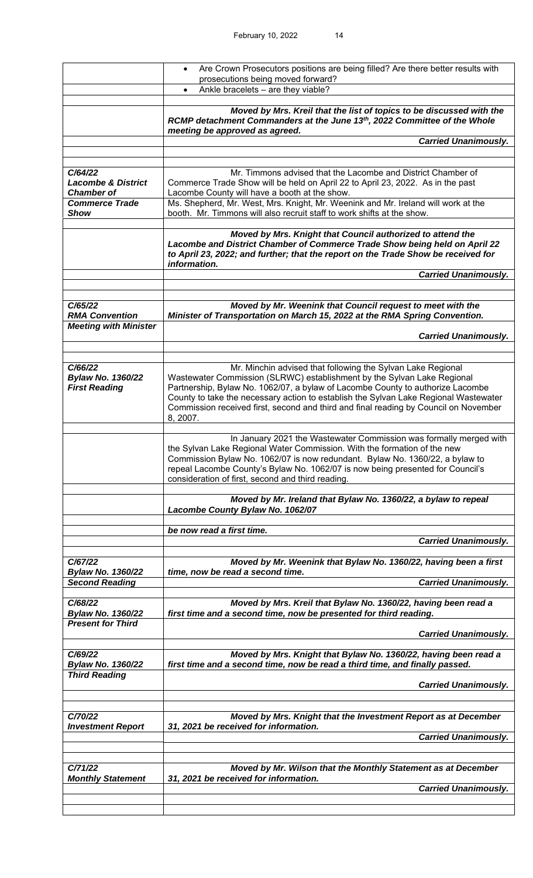|                                                                 | Are Crown Prosecutors positions are being filled? Are there better results with<br>$\bullet$                                                                                                                                                                                                                                                                                                                         |
|-----------------------------------------------------------------|----------------------------------------------------------------------------------------------------------------------------------------------------------------------------------------------------------------------------------------------------------------------------------------------------------------------------------------------------------------------------------------------------------------------|
|                                                                 | prosecutions being moved forward?<br>Ankle bracelets - are they viable?<br>$\bullet$                                                                                                                                                                                                                                                                                                                                 |
|                                                                 |                                                                                                                                                                                                                                                                                                                                                                                                                      |
|                                                                 | Moved by Mrs. Kreil that the list of topics to be discussed with the<br>RCMP detachment Commanders at the June 13th, 2022 Committee of the Whole<br>meeting be approved as agreed.                                                                                                                                                                                                                                   |
|                                                                 | <b>Carried Unanimously.</b>                                                                                                                                                                                                                                                                                                                                                                                          |
|                                                                 |                                                                                                                                                                                                                                                                                                                                                                                                                      |
| C/64/22<br><b>Lacombe &amp; District</b><br><b>Chamber of</b>   | Mr. Timmons advised that the Lacombe and District Chamber of<br>Commerce Trade Show will be held on April 22 to April 23, 2022. As in the past<br>Lacombe County will have a booth at the show.                                                                                                                                                                                                                      |
| <b>Commerce Trade</b><br><b>Show</b>                            | Ms. Shepherd, Mr. West, Mrs. Knight, Mr. Weenink and Mr. Ireland will work at the<br>booth. Mr. Timmons will also recruit staff to work shifts at the show.                                                                                                                                                                                                                                                          |
|                                                                 | Moved by Mrs. Knight that Council authorized to attend the<br>Lacombe and District Chamber of Commerce Trade Show being held on April 22<br>to April 23, 2022; and further; that the report on the Trade Show be received for<br>information.<br><b>Carried Unanimously.</b>                                                                                                                                         |
|                                                                 |                                                                                                                                                                                                                                                                                                                                                                                                                      |
| C/65/22<br><b>RMA Convention</b>                                | Moved by Mr. Weenink that Council request to meet with the<br>Minister of Transportation on March 15, 2022 at the RMA Spring Convention.                                                                                                                                                                                                                                                                             |
| <b>Meeting with Minister</b>                                    | <b>Carried Unanimously.</b>                                                                                                                                                                                                                                                                                                                                                                                          |
|                                                                 |                                                                                                                                                                                                                                                                                                                                                                                                                      |
| C/66/22<br><b>Bylaw No. 1360/22</b><br><b>First Reading</b>     | Mr. Minchin advised that following the Sylvan Lake Regional<br>Wastewater Commission (SLRWC) establishment by the Sylvan Lake Regional<br>Partnership, Bylaw No. 1062/07, a bylaw of Lacombe County to authorize Lacombe<br>County to take the necessary action to establish the Sylvan Lake Regional Wastewater<br>Commission received first, second and third and final reading by Council on November<br>8, 2007. |
|                                                                 | In January 2021 the Wastewater Commission was formally merged with<br>the Sylvan Lake Regional Water Commission. With the formation of the new<br>Commission Bylaw No. 1062/07 is now redundant. Bylaw No. 1360/22, a bylaw to<br>repeal Lacombe County's Bylaw No. 1062/07 is now being presented for Council's<br>consideration of first, second and third reading.                                                |
|                                                                 | Moved by Mr. Ireland that Bylaw No. 1360/22, a bylaw to repeal<br>Lacombe County Bylaw No. 1062/07                                                                                                                                                                                                                                                                                                                   |
|                                                                 | be now read a first time.                                                                                                                                                                                                                                                                                                                                                                                            |
|                                                                 | <b>Carried Unanimously.</b>                                                                                                                                                                                                                                                                                                                                                                                          |
| C/67/22<br><b>Bylaw No. 1360/22</b>                             | Moved by Mr. Weenink that Bylaw No. 1360/22, having been a first<br>time, now be read a second time.                                                                                                                                                                                                                                                                                                                 |
| <b>Second Reading</b>                                           | <b>Carried Unanimously.</b>                                                                                                                                                                                                                                                                                                                                                                                          |
| C/68/22<br><b>Bylaw No. 1360/22</b><br><b>Present for Third</b> | Moved by Mrs. Kreil that Bylaw No. 1360/22, having been read a<br>first time and a second time, now be presented for third reading.                                                                                                                                                                                                                                                                                  |
|                                                                 | <b>Carried Unanimously.</b>                                                                                                                                                                                                                                                                                                                                                                                          |
| C/69/22                                                         | Moved by Mrs. Knight that Bylaw No. 1360/22, having been read a                                                                                                                                                                                                                                                                                                                                                      |
| <b>Bylaw No. 1360/22</b><br><b>Third Reading</b>                | first time and a second time, now be read a third time, and finally passed.                                                                                                                                                                                                                                                                                                                                          |
|                                                                 | <b>Carried Unanimously.</b>                                                                                                                                                                                                                                                                                                                                                                                          |
| C/70/22                                                         | Moved by Mrs. Knight that the Investment Report as at December                                                                                                                                                                                                                                                                                                                                                       |
| <b>Investment Report</b>                                        | 31, 2021 be received for information.<br><b>Carried Unanimously.</b>                                                                                                                                                                                                                                                                                                                                                 |
|                                                                 |                                                                                                                                                                                                                                                                                                                                                                                                                      |
| C/71/22<br><b>Monthly Statement</b>                             | Moved by Mr. Wilson that the Monthly Statement as at December<br>31, 2021 be received for information.                                                                                                                                                                                                                                                                                                               |
|                                                                 | <b>Carried Unanimously.</b>                                                                                                                                                                                                                                                                                                                                                                                          |
|                                                                 |                                                                                                                                                                                                                                                                                                                                                                                                                      |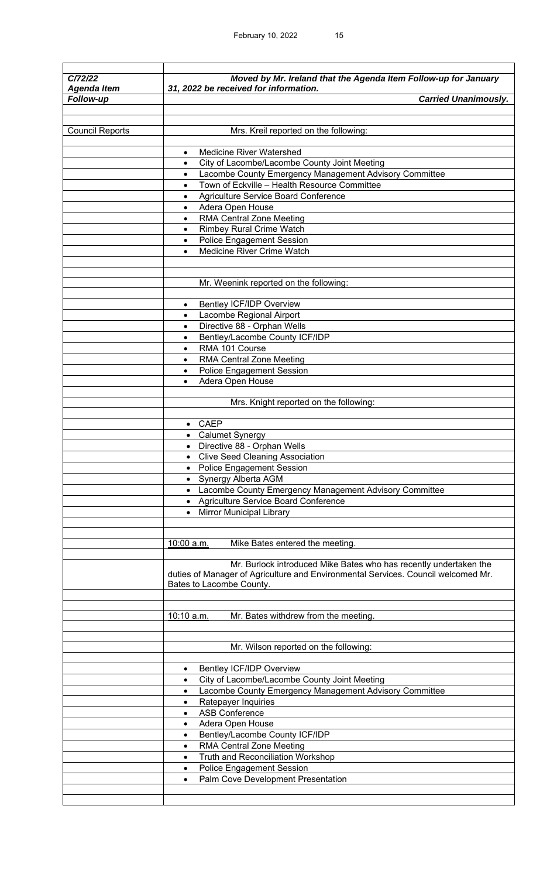| C/72/22                | Moved by Mr. Ireland that the Agenda Item Follow-up for January                                               |
|------------------------|---------------------------------------------------------------------------------------------------------------|
| <b>Agenda Item</b>     | 31, 2022 be received for information.                                                                         |
| Follow-up              | <b>Carried Unanimously.</b>                                                                                   |
|                        |                                                                                                               |
| <b>Council Reports</b> | Mrs. Kreil reported on the following:                                                                         |
|                        | <b>Medicine River Watershed</b><br>$\bullet$                                                                  |
|                        | City of Lacombe/Lacombe County Joint Meeting<br>$\bullet$                                                     |
|                        | Lacombe County Emergency Management Advisory Committee<br>$\bullet$                                           |
|                        | Town of Eckville - Health Resource Committee<br>$\bullet$                                                     |
|                        | Agriculture Service Board Conference<br>٠                                                                     |
|                        | Adera Open House<br>٠                                                                                         |
|                        | <b>RMA Central Zone Meeting</b><br><b>Rimbey Rural Crime Watch</b>                                            |
|                        | <b>Police Engagement Session</b><br>٠                                                                         |
|                        | Medicine River Crime Watch<br>$\bullet$                                                                       |
|                        |                                                                                                               |
|                        |                                                                                                               |
|                        | Mr. Weenink reported on the following:                                                                        |
|                        |                                                                                                               |
|                        | <b>Bentley ICF/IDP Overview</b><br>$\bullet$                                                                  |
|                        | Lacombe Regional Airport<br>$\bullet$<br>Directive 88 - Orphan Wells                                          |
|                        | $\bullet$<br>Bentley/Lacombe County ICF/IDP                                                                   |
|                        | RMA 101 Course                                                                                                |
|                        | <b>RMA Central Zone Meeting</b>                                                                               |
|                        | <b>Police Engagement Session</b>                                                                              |
|                        | Adera Open House<br>٠                                                                                         |
|                        |                                                                                                               |
|                        | Mrs. Knight reported on the following:                                                                        |
|                        |                                                                                                               |
|                        | <b>CAEP</b><br>$\bullet$                                                                                      |
|                        | • Calumet Synergy                                                                                             |
|                        | • Directive 88 - Orphan Wells<br><b>Clive Seed Cleaning Association</b>                                       |
|                        | • Police Engagement Session                                                                                   |
|                        | • Synergy Alberta AGM                                                                                         |
|                        | • Lacombe County Emergency Management Advisory Committee                                                      |
|                        | • Agriculture Service Board Conference                                                                        |
|                        | • Mirror Municipal Library                                                                                    |
|                        |                                                                                                               |
|                        |                                                                                                               |
|                        | Mike Bates entered the meeting.<br>10:00 a.m.                                                                 |
|                        | Mr. Burlock introduced Mike Bates who has recently undertaken the                                             |
|                        | duties of Manager of Agriculture and Environmental Services. Council welcomed Mr.<br>Bates to Lacombe County. |
|                        | 10:10 a.m.<br>Mr. Bates withdrew from the meeting.                                                            |
|                        |                                                                                                               |
|                        |                                                                                                               |
|                        | Mr. Wilson reported on the following:                                                                         |
|                        |                                                                                                               |
|                        | <b>Bentley ICF/IDP Overview</b><br>$\bullet$                                                                  |
|                        | City of Lacombe/Lacombe County Joint Meeting<br>٠                                                             |
|                        | Lacombe County Emergency Management Advisory Committee<br>$\bullet$                                           |
|                        | Ratepayer Inquiries<br>$\bullet$<br><b>ASB Conference</b><br>$\bullet$                                        |
|                        | Adera Open House                                                                                              |
|                        | Bentley/Lacombe County ICF/IDP                                                                                |
|                        | <b>RMA Central Zone Meeting</b>                                                                               |
|                        | Truth and Reconciliation Workshop                                                                             |
|                        | <b>Police Engagement Session</b><br>$\bullet$                                                                 |
|                        | Palm Cove Development Presentation<br>$\bullet$                                                               |
|                        |                                                                                                               |
|                        |                                                                                                               |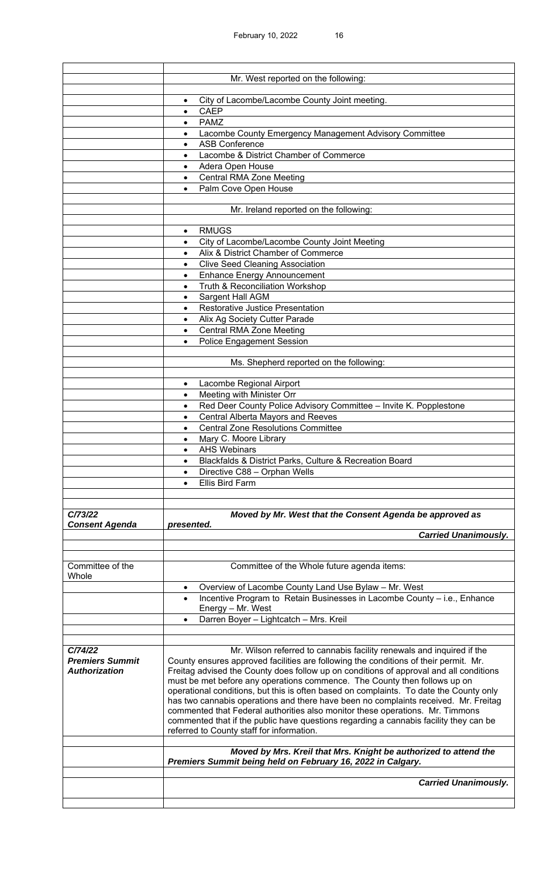|                        | Mr. West reported on the following:                                                    |
|------------------------|----------------------------------------------------------------------------------------|
|                        |                                                                                        |
|                        | City of Lacombe/Lacombe County Joint meeting.<br>$\bullet$                             |
|                        | <b>CAEP</b><br>$\bullet$                                                               |
|                        | PAMZ<br>$\bullet$                                                                      |
|                        | Lacombe County Emergency Management Advisory Committee                                 |
|                        | <b>ASB Conference</b>                                                                  |
|                        | Lacombe & District Chamber of Commerce                                                 |
|                        | Adera Open House<br>$\bullet$                                                          |
|                        | <b>Central RMA Zone Meeting</b><br>$\bullet$                                           |
|                        | Palm Cove Open House<br>$\bullet$                                                      |
|                        |                                                                                        |
|                        | Mr. Ireland reported on the following:                                                 |
|                        |                                                                                        |
|                        | <b>RMUGS</b><br>$\bullet$                                                              |
|                        | City of Lacombe/Lacombe County Joint Meeting<br>$\bullet$                              |
|                        | Alix & District Chamber of Commerce<br>$\bullet$                                       |
|                        | <b>Clive Seed Cleaning Association</b><br>$\bullet$                                    |
|                        | <b>Enhance Energy Announcement</b><br>$\bullet$                                        |
|                        | Truth & Reconciliation Workshop<br>$\bullet$                                           |
|                        | <b>Sargent Hall AGM</b><br>$\bullet$                                                   |
|                        | <b>Restorative Justice Presentation</b><br>$\bullet$                                   |
|                        | Alix Ag Society Cutter Parade<br>$\bullet$                                             |
|                        | <b>Central RMA Zone Meeting</b><br>$\bullet$                                           |
|                        | <b>Police Engagement Session</b>                                                       |
|                        |                                                                                        |
|                        | Ms. Shepherd reported on the following:                                                |
|                        |                                                                                        |
|                        | Lacombe Regional Airport<br>$\bullet$                                                  |
|                        | Meeting with Minister Orr                                                              |
|                        | Red Deer County Police Advisory Committee - Invite K. Popplestone<br>٠                 |
|                        | <b>Central Alberta Mayors and Reeves</b><br>$\bullet$                                  |
|                        | <b>Central Zone Resolutions Committee</b><br>$\bullet$                                 |
|                        | Mary C. Moore Library<br>$\bullet$                                                     |
|                        | <b>AHS Webinars</b><br>$\bullet$                                                       |
|                        | Blackfalds & District Parks, Culture & Recreation Board                                |
|                        | Directive C88 - Orphan Wells                                                           |
|                        | <b>Ellis Bird Farm</b><br>$\bullet$                                                    |
|                        |                                                                                        |
| C/73/22                | Moved by Mr. West that the Consent Agenda be approved as                               |
| <b>Consent Agenda</b>  | presented.                                                                             |
|                        | <b>Carried Unanimously.</b>                                                            |
|                        |                                                                                        |
|                        |                                                                                        |
| Committee of the       | Committee of the Whole future agenda items:                                            |
| Whole                  |                                                                                        |
|                        | Overview of Lacombe County Land Use Bylaw - Mr. West<br>$\bullet$                      |
|                        | Incentive Program to Retain Businesses in Lacombe County - i.e., Enhance               |
|                        | Energy - Mr. West                                                                      |
|                        | Darren Boyer - Lightcatch - Mrs. Kreil                                                 |
|                        |                                                                                        |
| C/74/22                | Mr. Wilson referred to cannabis facility renewals and inquired if the                  |
| <b>Premiers Summit</b> | County ensures approved facilities are following the conditions of their permit. Mr.   |
| <b>Authorization</b>   | Freitag advised the County does follow up on conditions of approval and all conditions |
|                        | must be met before any operations commence. The County then follows up on              |
|                        | operational conditions, but this is often based on complaints. To date the County only |
|                        | has two cannabis operations and there have been no complaints received. Mr. Freitag    |
|                        | commented that Federal authorities also monitor these operations. Mr. Timmons          |
|                        | commented that if the public have questions regarding a cannabis facility they can be  |
|                        | referred to County staff for information.                                              |
|                        | Moved by Mrs. Kreil that Mrs. Knight be authorized to attend the                       |
|                        | Premiers Summit being held on February 16, 2022 in Calgary.                            |
|                        |                                                                                        |
|                        | <b>Carried Unanimously.</b>                                                            |
|                        |                                                                                        |
|                        |                                                                                        |